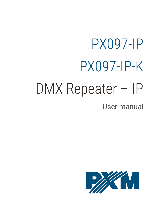# PX097-IP PX097-IP-K

# DMX Repeater – IP

#### User manual

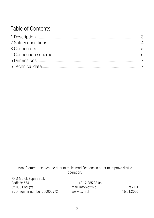#### Table of Contents

Manufacturer reserves the right to make modifications in order to improve device operation.

| PXM Marek Zupnik sp.k.        |                       |            |
|-------------------------------|-----------------------|------------|
| Podłęże 654                   | tel. +48 12 385 83 06 |            |
| 32-003 Podłęże                | mail: info@pxm.pl     | Rev 1-1    |
| BDO register number 000005972 | www.pxm.pl            | 16.01.2020 |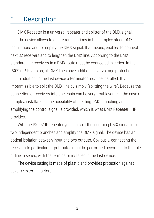#### <span id="page-2-0"></span>1 Description

DMX Repeater is a universal repeater and splitter of the DMX signal. The device allows to create ramifications in the complex stage DMX installations and to amplify the DMX signal, that means, enables to connect next 32 receivers and to lengthen the DMX line. According to the DMX standard, the receivers in a DMX route must be connected in series. In the PX097-IP-K version, all DMX lines have additional overvoltage protection.

In addition, in the last device a terminator must be installed. It is impermissible to split the DMX line by simply "splitting the wire". Because the connection of receivers into one chain can be very troublesome in the case of complex installations, the possibility of creating DMX branching and amplifying the control signal is provided, which is what DMX Repeater  $-$  IP provides.

With the PX097-IP repeater you can split the incoming DMX signal into two independent branches and amplify the DMX signal. The device has an optical isolation between input and two outputs. Obviously, connecting the receivers to particular output routes must be performed according to the rule of line in series, with the terminator installed in the last device.

The device casing is made of plastic and provides protection against adverse external factors.

3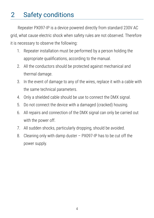### <span id="page-3-0"></span>2 Safety conditions

Repeater PX097-IP is a device powered directly from standard 230V AC grid, what cause electric shock when safety rules are not observed. Therefore it is necessary to observe the following:

- 1. Repeater installation must be performed by a person holding the appropriate qualifications, according to the manual.
- 2. All the conductors should be protected against mechanical and thermal damage.
- 3. In the event of damage to any of the wires, replace it with a cable with the same technical parameters.
- 4. Only a shielded cable should be use to connect the DMX signal.
- 5. Do not connect the device with a damaged (cracked) housing.
- 6. All repairs and connection of the DMX signal can only be carried out with the power off.
- 7. All sudden shocks, particularly dropping, should be avoided.
- 8. Cleaning only with damp duster PX097-IP has to be cut off the power supply.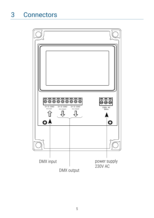<span id="page-4-0"></span>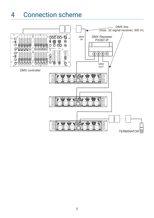#### <span id="page-5-0"></span>4 Connection scheme

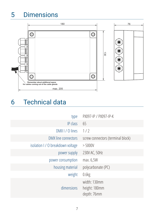## <span id="page-6-1"></span>5 Dimensions



#### <span id="page-6-0"></span>6 Technical data

| type                              | PX097-IP / PX097-IP-K                        |
|-----------------------------------|----------------------------------------------|
| IP class                          | 65                                           |
| DMX I / O lines                   | 1/2                                          |
| DMX line connectors               | screw connectors (terminal block)            |
| isolation I / O breakdown voltage | > 5000V                                      |
| power supply                      | 230V AC, 50Hz                                |
| power consumption                 | max. 6,5W                                    |
| housing material                  | polycarbonate (PC)                           |
| weight                            | 0.6kg                                        |
| dimensions                        | width: 130mm<br>height: 180mm<br>depth: 76mm |